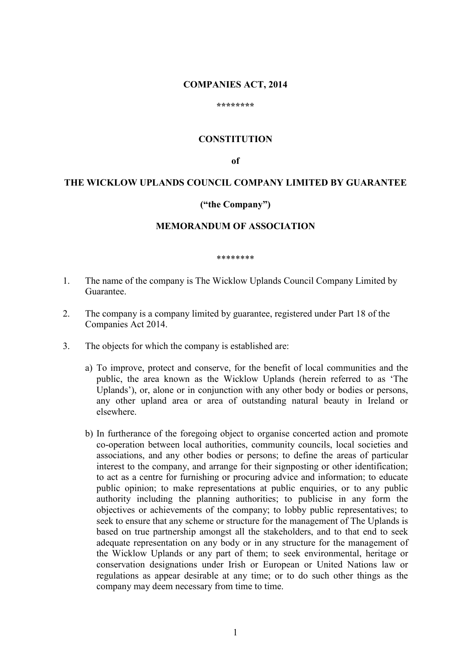#### **COMPANIES ACT, 2014**

#### **\*\*\*\*\*\*\*\***

### **CONSTITUTION**

**of**

# **THE WICKLOW UPLANDS COUNCIL COMPANY LIMITED BY GUARANTEE**

### **("the Company")**

### **MEMORANDUM OF ASSOCIATION**

#### \*\*\*\*\*\*\*\*

- 1. The name of the company is The Wicklow Uplands Council Company Limited by Guarantee.
- 2. The company is a company limited by guarantee, registered under Part 18 of the Companies Act 2014.
- 3. The objects for which the company is established are:
	- a) To improve, protect and conserve, for the benefit of local communities and the public, the area known as the Wicklow Uplands (herein referred to as 'The Uplands'), or, alone or in conjunction with any other body or bodies or persons, any other upland area or area of outstanding natural beauty in Ireland or elsewhere.
	- b) In furtherance of the foregoing object to organise concerted action and promote co-operation between local authorities, community councils, local societies and associations, and any other bodies or persons; to define the areas of particular interest to the company, and arrange for their signposting or other identification; to act as a centre for furnishing or procuring advice and information; to educate public opinion; to make representations at public enquiries, or to any public authority including the planning authorities; to publicise in any form the objectives or achievements of the company; to lobby public representatives; to seek to ensure that any scheme or structure for the management of The Uplands is based on true partnership amongst all the stakeholders, and to that end to seek adequate representation on any body or in any structure for the management of the Wicklow Uplands or any part of them; to seek environmental, heritage or conservation designations under Irish or European or United Nations law or regulations as appear desirable at any time; or to do such other things as the company may deem necessary from time to time.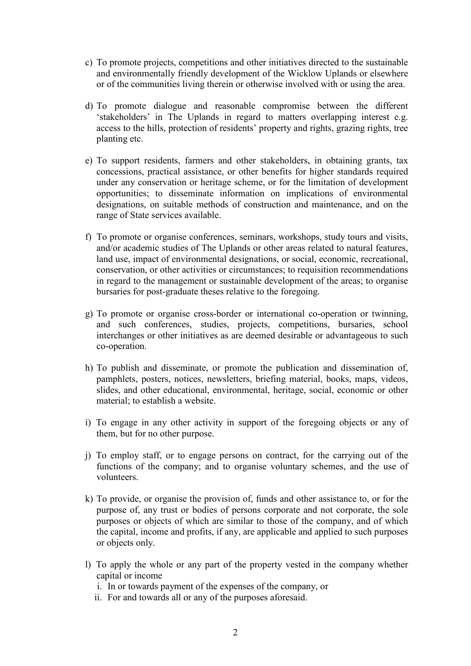- c) To promote projects, competitions and other initiatives directed to the sustainable and environmentally friendly development of the Wicklow Uplands or elsewhere or of the communities living therein or otherwise involved with or using the area.
- d) To promote dialogue and reasonable compromise between the different 'stakeholders' in The Uplands in regard to matters overlapping interest e.g. access to the hills, protection of residents' property and rights, grazing rights, tree planting etc.
- e) To support residents, farmers and other stakeholders, in obtaining grants, tax concessions, practical assistance, or other benefits for higher standards required under any conservation or heritage scheme, or for the limitation of development opportunities; to disseminate information on implications of environmental designations, on suitable methods of construction and maintenance, and on the range of State services available.
- f) To promote or organise conferences, seminars, workshops, study tours and visits, and/or academic studies of The Uplands or other areas related to natural features, land use, impact of environmental designations, or social, economic, recreational, conservation, or other activities or circumstances; to requisition recommendations in regard to the management or sustainable development of the areas; to organise bursaries for post-graduate theses relative to the foregoing.
- g) To promote or organise cross-border or international co-operation or twinning, and such conferences, studies, projects, competitions, bursaries, school interchanges or other initiatives as are deemed desirable or advantageous to such co-operation.
- h) To publish and disseminate, or promote the publication and dissemination of, pamphlets, posters, notices, newsletters, briefing material, books, maps, videos, slides, and other educational, environmental, heritage, social, economic or other material; to establish a website.
- i) To engage in any other activity in support of the foregoing objects or any of them, but for no other purpose.
- j) To employ staff, or to engage persons on contract, for the carrying out of the functions of the company; and to organise voluntary schemes, and the use of volunteers.
- k) To provide, or organise the provision of, funds and other assistance to, or for the purpose of, any trust or bodies of persons corporate and not corporate, the sole purposes or objects of which are similar to those of the company, and of which the capital, income and profits, if any, are applicable and applied to such purposes or objects only.
- l) To apply the whole or any part of the property vested in the company whether capital or income
	- i. In or towards payment of the expenses of the company, or
	- ii. For and towards all or any of the purposes aforesaid.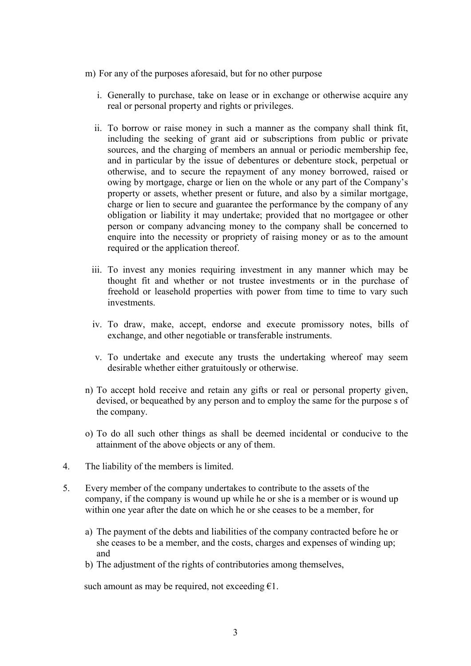- m) For any of the purposes aforesaid, but for no other purpose
	- i. Generally to purchase, take on lease or in exchange or otherwise acquire any real or personal property and rights or privileges.
	- ii. To borrow or raise money in such a manner as the company shall think fit, including the seeking of grant aid or subscriptions from public or private sources, and the charging of members an annual or periodic membership fee, and in particular by the issue of debentures or debenture stock, perpetual or otherwise, and to secure the repayment of any money borrowed, raised or owing by mortgage, charge or lien on the whole or any part of the Company's property or assets, whether present or future, and also by a similar mortgage, charge or lien to secure and guarantee the performance by the company of any obligation or liability it may undertake; provided that no mortgagee or other person or company advancing money to the company shall be concerned to enquire into the necessity or propriety of raising money or as to the amount required or the application thereof.
	- iii. To invest any monies requiring investment in any manner which may be thought fit and whether or not trustee investments or in the purchase of freehold or leasehold properties with power from time to time to vary such investments.
	- iv. To draw, make, accept, endorse and execute promissory notes, bills of exchange, and other negotiable or transferable instruments.
	- v. To undertake and execute any trusts the undertaking whereof may seem desirable whether either gratuitously or otherwise.
- n) To accept hold receive and retain any gifts or real or personal property given, devised, or bequeathed by any person and to employ the same for the purpose s of the company.
- o) To do all such other things as shall be deemed incidental or conducive to the attainment of the above objects or any of them.
- 4. The liability of the members is limited.
- 5. Every member of the company undertakes to contribute to the assets of the company, if the company is wound up while he or she is a member or is wound up within one year after the date on which he or she ceases to be a member, for
	- a) The payment of the debts and liabilities of the company contracted before he or she ceases to be a member, and the costs, charges and expenses of winding up; and
	- b) The adjustment of the rights of contributories among themselves,

such amount as may be required, not exceeding  $\epsilon$ 1.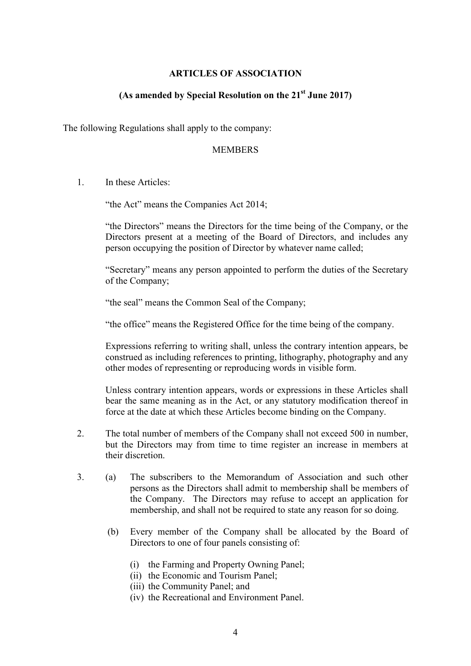### **ARTICLES OF ASSOCIATION**

# **(As amended by Special Resolution on the 21st June 2017)**

The following Regulations shall apply to the company:

#### MEMBERS

1. In these Articles:

"the Act" means the Companies Act 2014;

"the Directors" means the Directors for the time being of the Company, or the Directors present at a meeting of the Board of Directors, and includes any person occupying the position of Director by whatever name called;

"Secretary" means any person appointed to perform the duties of the Secretary of the Company;

"the seal" means the Common Seal of the Company;

"the office" means the Registered Office for the time being of the company.

Expressions referring to writing shall, unless the contrary intention appears, be construed as including references to printing, lithography, photography and any other modes of representing or reproducing words in visible form.

Unless contrary intention appears, words or expressions in these Articles shall bear the same meaning as in the Act, or any statutory modification thereof in force at the date at which these Articles become binding on the Company.

- 2. The total number of members of the Company shall not exceed 500 in number, but the Directors may from time to time register an increase in members at their discretion.
- 3. (a) The subscribers to the Memorandum of Association and such other persons as the Directors shall admit to membership shall be members of the Company. The Directors may refuse to accept an application for membership, and shall not be required to state any reason for so doing.
	- (b) Every member of the Company shall be allocated by the Board of Directors to one of four panels consisting of:
		- (i) the Farming and Property Owning Panel;
		- (ii) the Economic and Tourism Panel;
		- (iii) the Community Panel; and
		- (iv) the Recreational and Environment Panel.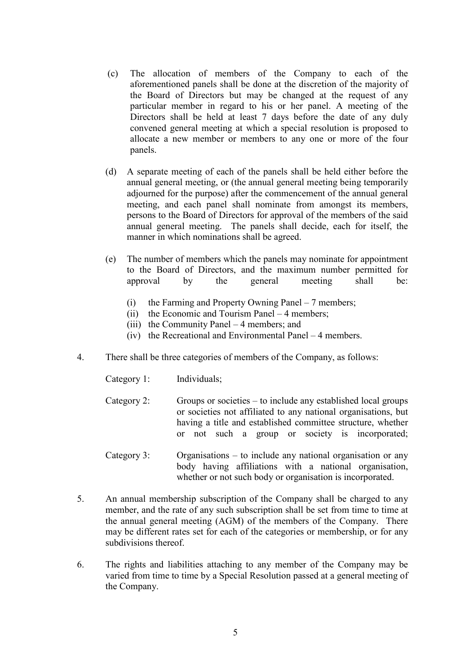- (c) The allocation of members of the Company to each of the aforementioned panels shall be done at the discretion of the majority of the Board of Directors but may be changed at the request of any particular member in regard to his or her panel. A meeting of the Directors shall be held at least 7 days before the date of any duly convened general meeting at which a special resolution is proposed to allocate a new member or members to any one or more of the four panels.
- (d) A separate meeting of each of the panels shall be held either before the annual general meeting, or (the annual general meeting being temporarily adjourned for the purpose) after the commencement of the annual general meeting, and each panel shall nominate from amongst its members, persons to the Board of Directors for approval of the members of the said annual general meeting. The panels shall decide, each for itself, the manner in which nominations shall be agreed.
- (e) The number of members which the panels may nominate for appointment to the Board of Directors, and the maximum number permitted for approval by the general meeting shall be:
	- (i) the Farming and Property Owning Panel 7 members;
	- (ii) the Economic and Tourism Panel 4 members;
	- (iii) the Community Panel 4 members; and
	- (iv) the Recreational and Environmental Panel 4 members.
- 4. There shall be three categories of members of the Company, as follows:
	- Category 1: Individuals;
	- Category 2: Groups or societies to include any established local groups or societies not affiliated to any national organisations, but having a title and established committee structure, whether or not such a group or society is incorporated;
	- Category 3: Organisations to include any national organisation or any body having affiliations with a national organisation, whether or not such body or organisation is incorporated.
- 5. An annual membership subscription of the Company shall be charged to any member, and the rate of any such subscription shall be set from time to time at the annual general meeting (AGM) of the members of the Company. There may be different rates set for each of the categories or membership, or for any subdivisions thereof.
- 6. The rights and liabilities attaching to any member of the Company may be varied from time to time by a Special Resolution passed at a general meeting of the Company.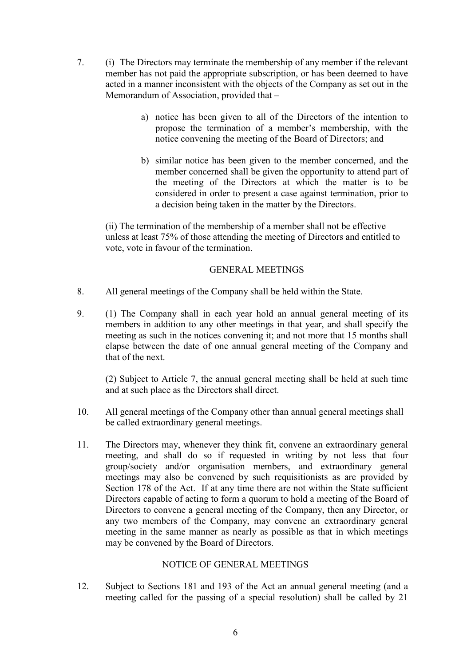- 7. (i) The Directors may terminate the membership of any member if the relevant member has not paid the appropriate subscription, or has been deemed to have acted in a manner inconsistent with the objects of the Company as set out in the Memorandum of Association, provided that –
	- a) notice has been given to all of the Directors of the intention to propose the termination of a member's membership, with the notice convening the meeting of the Board of Directors; and
	- b) similar notice has been given to the member concerned, and the member concerned shall be given the opportunity to attend part of the meeting of the Directors at which the matter is to be considered in order to present a case against termination, prior to a decision being taken in the matter by the Directors.

(ii) The termination of the membership of a member shall not be effective unless at least 75% of those attending the meeting of Directors and entitled to vote, vote in favour of the termination.

# GENERAL MEETINGS

- 8. All general meetings of the Company shall be held within the State.
- 9. (1) The Company shall in each year hold an annual general meeting of its members in addition to any other meetings in that year, and shall specify the meeting as such in the notices convening it; and not more that 15 months shall elapse between the date of one annual general meeting of the Company and that of the next.

(2) Subject to Article 7, the annual general meeting shall be held at such time and at such place as the Directors shall direct.

- 10. All general meetings of the Company other than annual general meetings shall be called extraordinary general meetings.
- 11. The Directors may, whenever they think fit, convene an extraordinary general meeting, and shall do so if requested in writing by not less that four group/society and/or organisation members, and extraordinary general meetings may also be convened by such requisitionists as are provided by Section 178 of the Act. If at any time there are not within the State sufficient Directors capable of acting to form a quorum to hold a meeting of the Board of Directors to convene a general meeting of the Company, then any Director, or any two members of the Company, may convene an extraordinary general meeting in the same manner as nearly as possible as that in which meetings may be convened by the Board of Directors.

# NOTICE OF GENERAL MEETINGS

12. Subject to Sections 181 and 193 of the Act an annual general meeting (and a meeting called for the passing of a special resolution) shall be called by 21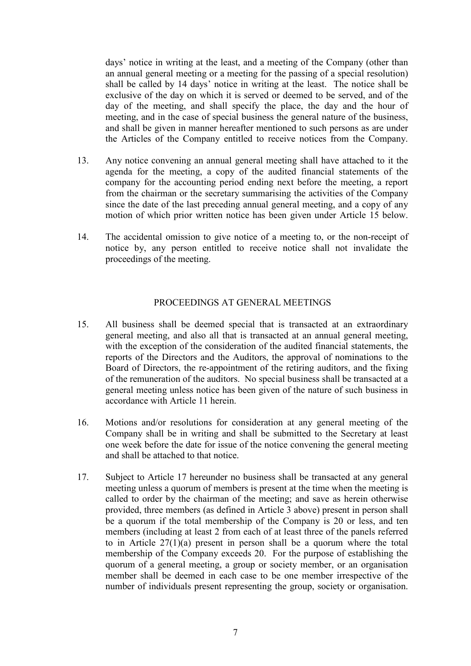days' notice in writing at the least, and a meeting of the Company (other than an annual general meeting or a meeting for the passing of a special resolution) shall be called by 14 days' notice in writing at the least. The notice shall be exclusive of the day on which it is served or deemed to be served, and of the day of the meeting, and shall specify the place, the day and the hour of meeting, and in the case of special business the general nature of the business, and shall be given in manner hereafter mentioned to such persons as are under the Articles of the Company entitled to receive notices from the Company.

- 13. Any notice convening an annual general meeting shall have attached to it the agenda for the meeting, a copy of the audited financial statements of the company for the accounting period ending next before the meeting, a report from the chairman or the secretary summarising the activities of the Company since the date of the last preceding annual general meeting, and a copy of any motion of which prior written notice has been given under Article 15 below.
- 14. The accidental omission to give notice of a meeting to, or the non-receipt of notice by, any person entitled to receive notice shall not invalidate the proceedings of the meeting.

### PROCEEDINGS AT GENERAL MEETINGS

- 15. All business shall be deemed special that is transacted at an extraordinary general meeting, and also all that is transacted at an annual general meeting, with the exception of the consideration of the audited financial statements, the reports of the Directors and the Auditors, the approval of nominations to the Board of Directors, the re-appointment of the retiring auditors, and the fixing of the remuneration of the auditors. No special business shall be transacted at a general meeting unless notice has been given of the nature of such business in accordance with Article 11 herein.
- 16. Motions and/or resolutions for consideration at any general meeting of the Company shall be in writing and shall be submitted to the Secretary at least one week before the date for issue of the notice convening the general meeting and shall be attached to that notice.
- 17. Subject to Article 17 hereunder no business shall be transacted at any general meeting unless a quorum of members is present at the time when the meeting is called to order by the chairman of the meeting; and save as herein otherwise provided, three members (as defined in Article 3 above) present in person shall be a quorum if the total membership of the Company is 20 or less, and ten members (including at least 2 from each of at least three of the panels referred to in Article 27(1)(a) present in person shall be a quorum where the total membership of the Company exceeds 20. For the purpose of establishing the quorum of a general meeting, a group or society member, or an organisation member shall be deemed in each case to be one member irrespective of the number of individuals present representing the group, society or organisation.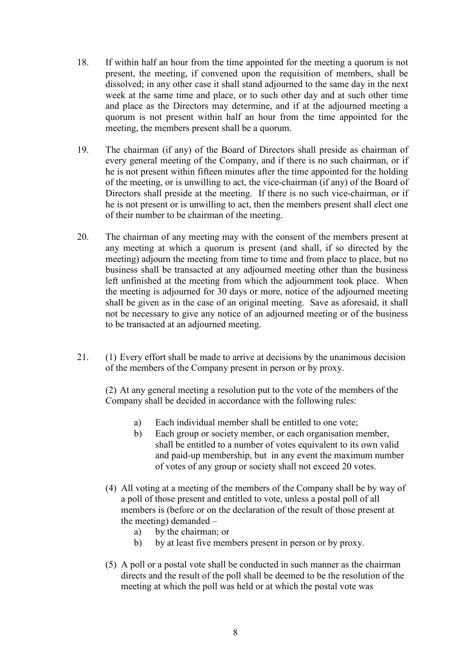- 18. If within half an hour from the time appointed for the meeting a quorum is not present, the meeting, if convened upon the requisition of members, shall be dissolved; in any other case it shall stand adjourned to the same day in the next week at the same time and place, or to such other day and at such other time and place as the Directors may determine, and if at the adjourned meeting a quorum is not present within half an hour from the time appointed for the meeting, the members present shall be a quorum.
- 19. The chairman (if any) of the Board of Directors shall preside as chairman of every general meeting of the Company, and if there is no such chairman, or if he is not present within fifteen minutes after the time appointed for the holding of the meeting, or is unwilling to act, the vice-chairman (if any) of the Board of Directors shall preside at the meeting. If there is no such vice-chairman, or if he is not present or is unwilling to act, then the members present shall elect one of their number to be chairman of the meeting.
- 20. The chairman of any meeting may with the consent of the members present at any meeting at which a quorum is present (and shall, if so directed by the meeting) adjourn the meeting from time to time and from place to place, but no business shall be transacted at any adjourned meeting other than the business left unfinished at the meeting from which the adjournment took place. When the meeting is adjourned for 30 days or more, notice of the adjourned meeting shall be given as in the case of an original meeting. Save as aforesaid, it shall not be necessary to give any notice of an adjourned meeting or of the business to be transacted at an adjourned meeting.
- 21. (1) Every effort shall be made to arrive at decisions by the unanimous decision of the members of the Company present in person or by proxy.

(2) At any general meeting a resolution put to the vote of the members of the Company shall be decided in accordance with the following rules:

- a) Each individual member shall be entitled to one vote;
- b) Each group or society member, or each organisation member, shall be entitled to a number of votes equivalent to its own valid and paid-up membership, but in any event the maximum number of votes of any group or society shall not exceed 20 votes.
- (4) All voting at a meeting of the members of the Company shall be by way of a poll of those present and entitled to vote, unless a postal poll of all members is (before or on the declaration of the result of those present at the meeting) demanded –
	- a) by the chairman; or
	- b) by at least five members present in person or by proxy.
- (5) A poll or a postal vote shall be conducted in such manner as the chairman directs and the result of the poll shall be deemed to be the resolution of the meeting at which the poll was held or at which the postal vote was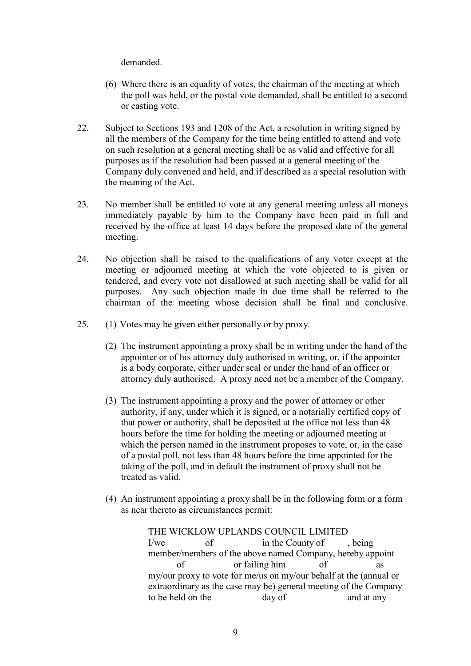demanded.

- (6) Where there is an equality of votes, the chairman of the meeting at which the poll was held, or the postal vote demanded, shall be entitled to a second or casting vote.
- 22. Subject to Sections 193 and 1208 of the Act, a resolution in writing signed by all the members of the Company for the time being entitled to attend and vote on such resolution at a general meeting shall be as valid and effective for all purposes as if the resolution had been passed at a general meeting of the Company duly convened and held, and if described as a special resolution with the meaning of the Act.
- 23. No member shall be entitled to vote at any general meeting unless all moneys immediately payable by him to the Company have been paid in full and received by the office at least 14 days before the proposed date of the general meeting.
- 24. No objection shall be raised to the qualifications of any voter except at the meeting or adjourned meeting at which the vote objected to is given or tendered, and every vote not disallowed at such meeting shall be valid for all purposes. Any such objection made in due time shall be referred to the chairman of the meeting whose decision shall be final and conclusive.
- 25. (1) Votes may be given either personally or by proxy.
	- (2) The instrument appointing a proxy shall be in writing under the hand of the appointer or of his attorney duly authorised in writing, or, if the appointer is a body corporate, either under seal or under the hand of an officer or attorney duly authorised. A proxy need not be a member of the Company.
	- (3) The instrument appointing a proxy and the power of attorney or other authority, if any, under which it is signed, or a notarially certified copy of that power or authority, shall be deposited at the office not less than 48 hours before the time for holding the meeting or adjourned meeting at which the person named in the instrument proposes to vote, or, in the case of a postal poll, not less than 48 hours before the time appointed for the taking of the poll, and in default the instrument of proxy shall not be treated as valid.
	- (4) An instrument appointing a proxy shall be in the following form or a form as near thereto as circumstances permit:

THE WICKLOW UPLANDS COUNCIL LIMITED I/we of in the County of being member/members of the above named Company, hereby appoint of or failing him of my/our proxy to vote for me/us on my/our behalf at the (annual or extraordinary as the case may be) general meeting of the Company to be held on the day of and at any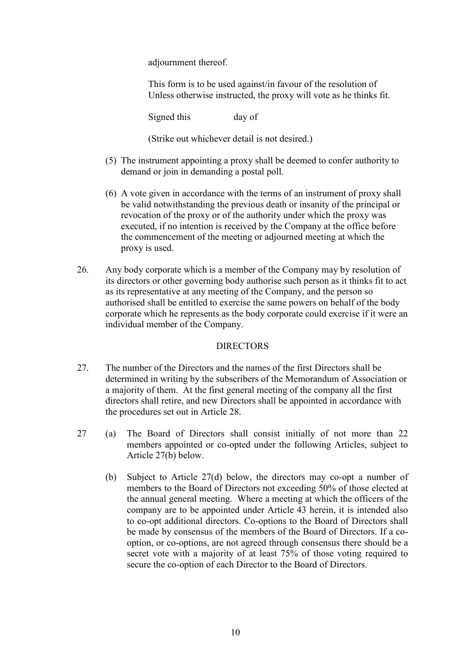adjournment thereof.

This form is to be used against/in favour of the resolution of Unless otherwise instructed, the proxy will vote as he thinks fit.

Signed this day of

(Strike out whichever detail is not desired.)

- (5) The instrument appointing a proxy shall be deemed to confer authority to demand or join in demanding a postal poll.
- (6) A vote given in accordance with the terms of an instrument of proxy shall be valid notwithstanding the previous death or insanity of the principal or revocation of the proxy or of the authority under which the proxy was executed, if no intention is received by the Company at the office before the commencement of the meeting or adjourned meeting at which the proxy is used.
- 26. Any body corporate which is a member of the Company may by resolution of its directors or other governing body authorise such person as it thinks fit to act as its representative at any meeting of the Company, and the person so authorised shall be entitled to exercise the same powers on behalf of the body corporate which he represents as the body corporate could exercise if it were an individual member of the Company.

# **DIRECTORS**

- 27. The number of the Directors and the names of the first Directors shall be determined in writing by the subscribers of the Memorandum of Association or a majority of them. At the first general meeting of the company all the first directors shall retire, and new Directors shall be appointed in accordance with the procedures set out in Article 28.
- 27 (a) The Board of Directors shall consist initially of not more than 22 members appointed or co-opted under the following Articles, subject to Article 27(b) below.
	- (b) Subject to Article 27(d) below, the directors may co-opt a number of members to the Board of Directors not exceeding 50% of those elected at the annual general meeting. Where a meeting at which the officers of the company are to be appointed under Article 43 herein, it is intended also to co-opt additional directors. Co-options to the Board of Directors shall be made by consensus of the members of the Board of Directors. If a cooption, or co-options, are not agreed through consensus there should be a secret vote with a majority of at least 75% of those voting required to secure the co-option of each Director to the Board of Directors.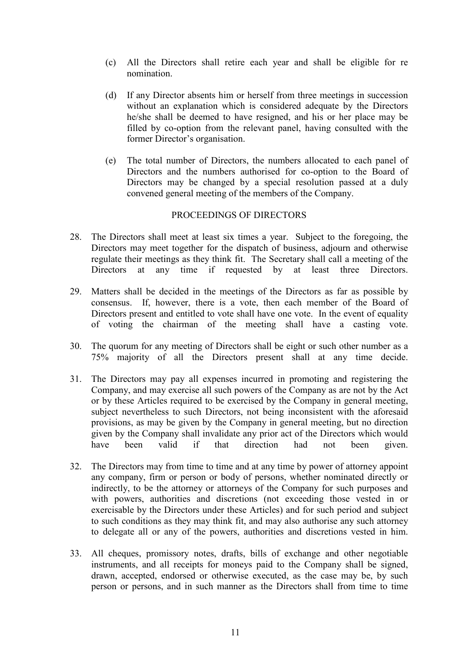- (c) All the Directors shall retire each year and shall be eligible for re nomination.
- (d) If any Director absents him or herself from three meetings in succession without an explanation which is considered adequate by the Directors he/she shall be deemed to have resigned, and his or her place may be filled by co-option from the relevant panel, having consulted with the former Director's organisation.
- (e) The total number of Directors, the numbers allocated to each panel of Directors and the numbers authorised for co-option to the Board of Directors may be changed by a special resolution passed at a duly convened general meeting of the members of the Company.

### PROCEEDINGS OF DIRECTORS

- 28. The Directors shall meet at least six times a year. Subject to the foregoing, the Directors may meet together for the dispatch of business, adjourn and otherwise regulate their meetings as they think fit. The Secretary shall call a meeting of the Directors at any time if requested by at least three Directors.
- 29. Matters shall be decided in the meetings of the Directors as far as possible by consensus. If, however, there is a vote, then each member of the Board of Directors present and entitled to vote shall have one vote. In the event of equality of voting the chairman of the meeting shall have a casting vote.
- 30. The quorum for any meeting of Directors shall be eight or such other number as a 75% majority of all the Directors present shall at any time decide.
- 31. The Directors may pay all expenses incurred in promoting and registering the Company, and may exercise all such powers of the Company as are not by the Act or by these Articles required to be exercised by the Company in general meeting, subject nevertheless to such Directors, not being inconsistent with the aforesaid provisions, as may be given by the Company in general meeting, but no direction given by the Company shall invalidate any prior act of the Directors which would have been valid if that direction had not been given.
- 32. The Directors may from time to time and at any time by power of attorney appoint any company, firm or person or body of persons, whether nominated directly or indirectly, to be the attorney or attorneys of the Company for such purposes and with powers, authorities and discretions (not exceeding those vested in or exercisable by the Directors under these Articles) and for such period and subject to such conditions as they may think fit, and may also authorise any such attorney to delegate all or any of the powers, authorities and discretions vested in him.
- 33. All cheques, promissory notes, drafts, bills of exchange and other negotiable instruments, and all receipts for moneys paid to the Company shall be signed, drawn, accepted, endorsed or otherwise executed, as the case may be, by such person or persons, and in such manner as the Directors shall from time to time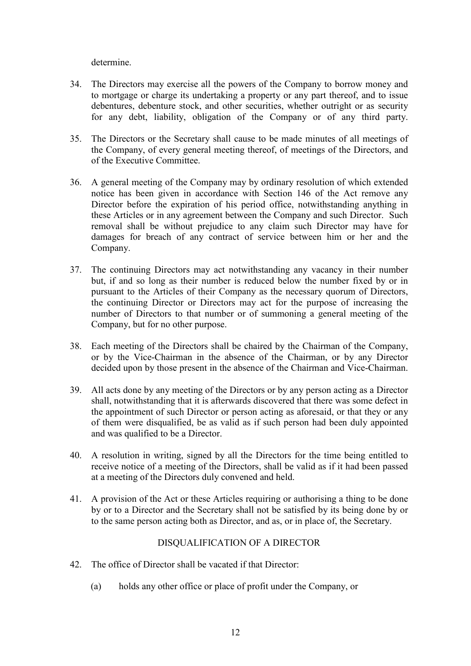determine.

- 34. The Directors may exercise all the powers of the Company to borrow money and to mortgage or charge its undertaking a property or any part thereof, and to issue debentures, debenture stock, and other securities, whether outright or as security for any debt, liability, obligation of the Company or of any third party.
- 35. The Directors or the Secretary shall cause to be made minutes of all meetings of the Company, of every general meeting thereof, of meetings of the Directors, and of the Executive Committee.
- 36. A general meeting of the Company may by ordinary resolution of which extended notice has been given in accordance with Section 146 of the Act remove any Director before the expiration of his period office, notwithstanding anything in these Articles or in any agreement between the Company and such Director. Such removal shall be without prejudice to any claim such Director may have for damages for breach of any contract of service between him or her and the Company.
- 37. The continuing Directors may act notwithstanding any vacancy in their number but, if and so long as their number is reduced below the number fixed by or in pursuant to the Articles of their Company as the necessary quorum of Directors, the continuing Director or Directors may act for the purpose of increasing the number of Directors to that number or of summoning a general meeting of the Company, but for no other purpose.
- 38. Each meeting of the Directors shall be chaired by the Chairman of the Company, or by the Vice-Chairman in the absence of the Chairman, or by any Director decided upon by those present in the absence of the Chairman and Vice-Chairman.
- 39. All acts done by any meeting of the Directors or by any person acting as a Director shall, notwithstanding that it is afterwards discovered that there was some defect in the appointment of such Director or person acting as aforesaid, or that they or any of them were disqualified, be as valid as if such person had been duly appointed and was qualified to be a Director.
- 40. A resolution in writing, signed by all the Directors for the time being entitled to receive notice of a meeting of the Directors, shall be valid as if it had been passed at a meeting of the Directors duly convened and held.
- 41. A provision of the Act or these Articles requiring or authorising a thing to be done by or to a Director and the Secretary shall not be satisfied by its being done by or to the same person acting both as Director, and as, or in place of, the Secretary.

# DISQUALIFICATION OF A DIRECTOR

- 42. The office of Director shall be vacated if that Director:
	- (a) holds any other office or place of profit under the Company, or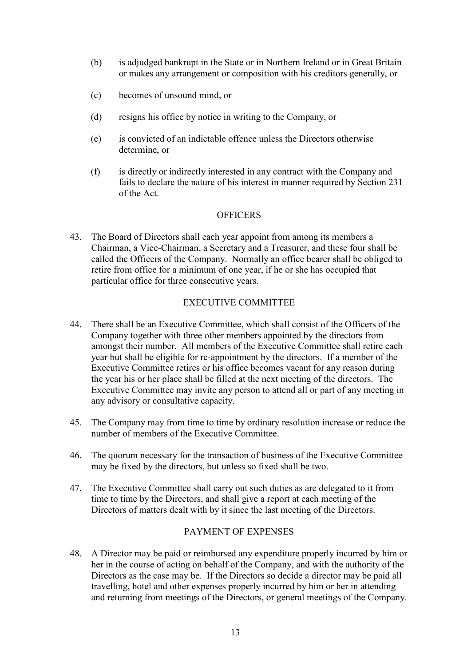- (b) is adjudged bankrupt in the State or in Northern Ireland or in Great Britain or makes any arrangement or composition with his creditors generally, or
- (c) becomes of unsound mind, or
- (d) resigns his office by notice in writing to the Company, or
- (e) is convicted of an indictable offence unless the Directors otherwise determine, or
- (f) is directly or indirectly interested in any contract with the Company and fails to declare the nature of his interest in manner required by Section 231 of the Act.

# **OFFICERS**

43. The Board of Directors shall each year appoint from among its members a Chairman, a Vice-Chairman, a Secretary and a Treasurer, and these four shall be called the Officers of the Company. Normally an office bearer shall be obliged to retire from office for a minimum of one year, if he or she has occupied that particular office for three consecutive years.

# EXECUTIVE COMMITTEE

- 44. There shall be an Executive Committee, which shall consist of the Officers of the Company together with three other members appointed by the directors from amongst their number. All members of the Executive Committee shall retire each year but shall be eligible for re-appointment by the directors. If a member of the Executive Committee retires or his office becomes vacant for any reason during the year his or her place shall be filled at the next meeting of the directors. The Executive Committee may invite any person to attend all or part of any meeting in any advisory or consultative capacity.
- 45. The Company may from time to time by ordinary resolution increase or reduce the number of members of the Executive Committee.
- 46. The quorum necessary for the transaction of business of the Executive Committee may be fixed by the directors, but unless so fixed shall be two.
- 47. The Executive Committee shall carry out such duties as are delegated to it from time to time by the Directors, and shall give a report at each meeting of the Directors of matters dealt with by it since the last meeting of the Directors.

### PAYMENT OF EXPENSES

48. A Director may be paid or reimbursed any expenditure properly incurred by him or her in the course of acting on behalf of the Company, and with the authority of the Directors as the case may be. If the Directors so decide a director may be paid all travelling, hotel and other expenses properly incurred by him or her in attending and returning from meetings of the Directors, or general meetings of the Company.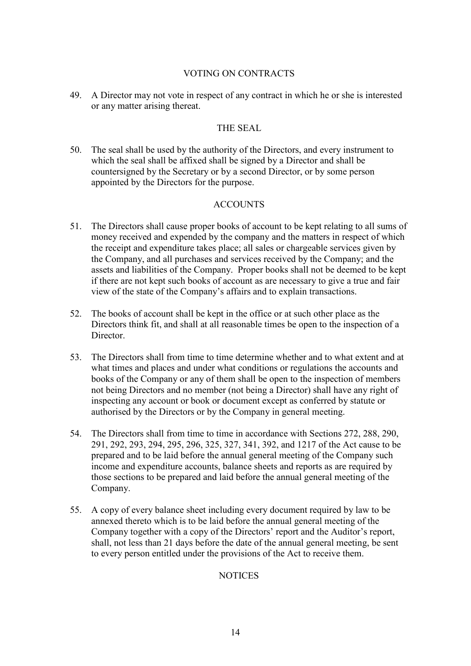### VOTING ON CONTRACTS

49. A Director may not vote in respect of any contract in which he or she is interested or any matter arising thereat.

### THE SEAL

50. The seal shall be used by the authority of the Directors, and every instrument to which the seal shall be affixed shall be signed by a Director and shall be countersigned by the Secretary or by a second Director, or by some person appointed by the Directors for the purpose.

# ACCOUNTS

- 51. The Directors shall cause proper books of account to be kept relating to all sums of money received and expended by the company and the matters in respect of which the receipt and expenditure takes place; all sales or chargeable services given by the Company, and all purchases and services received by the Company; and the assets and liabilities of the Company. Proper books shall not be deemed to be kept if there are not kept such books of account as are necessary to give a true and fair view of the state of the Company's affairs and to explain transactions.
- 52. The books of account shall be kept in the office or at such other place as the Directors think fit, and shall at all reasonable times be open to the inspection of a Director.
- 53. The Directors shall from time to time determine whether and to what extent and at what times and places and under what conditions or regulations the accounts and books of the Company or any of them shall be open to the inspection of members not being Directors and no member (not being a Director) shall have any right of inspecting any account or book or document except as conferred by statute or authorised by the Directors or by the Company in general meeting.
- 54. The Directors shall from time to time in accordance with Sections 272, 288, 290, 291, 292, 293, 294, 295, 296, 325, 327, 341, 392, and 1217 of the Act cause to be prepared and to be laid before the annual general meeting of the Company such income and expenditure accounts, balance sheets and reports as are required by those sections to be prepared and laid before the annual general meeting of the Company.
- 55. A copy of every balance sheet including every document required by law to be annexed thereto which is to be laid before the annual general meeting of the Company together with a copy of the Directors' report and the Auditor's report, shall, not less than 21 days before the date of the annual general meeting, be sent to every person entitled under the provisions of the Act to receive them.

### **NOTICES**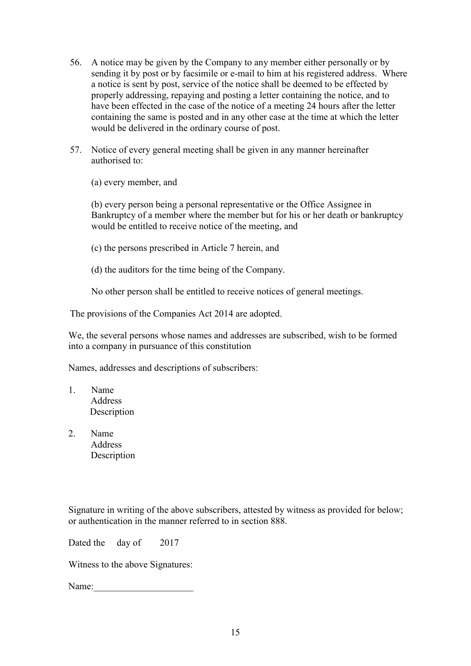- 56. A notice may be given by the Company to any member either personally or by sending it by post or by facsimile or e-mail to him at his registered address. Where a notice is sent by post, service of the notice shall be deemed to be effected by properly addressing, repaying and posting a letter containing the notice, and to have been effected in the case of the notice of a meeting 24 hours after the letter containing the same is posted and in any other case at the time at which the letter would be delivered in the ordinary course of post.
- 57. Notice of every general meeting shall be given in any manner hereinafter authorised to:

(a) every member, and

(b) every person being a personal representative or the Office Assignee in Bankruptcy of a member where the member but for his or her death or bankruptcy would be entitled to receive notice of the meeting, and

- (c) the persons prescribed in Article 7 herein, and
- (d) the auditors for the time being of the Company.

No other person shall be entitled to receive notices of general meetings.

The provisions of the Companies Act 2014 are adopted.

We, the several persons whose names and addresses are subscribed, wish to be formed into a company in pursuance of this constitution

Names, addresses and descriptions of subscribers:

- 1. Name Address Description
- 2. Name **Address** Description

Signature in writing of the above subscribers, attested by witness as provided for below; or authentication in the manner referred to in section 888.

Dated the day of 2017

Witness to the above Signatures:

Name: